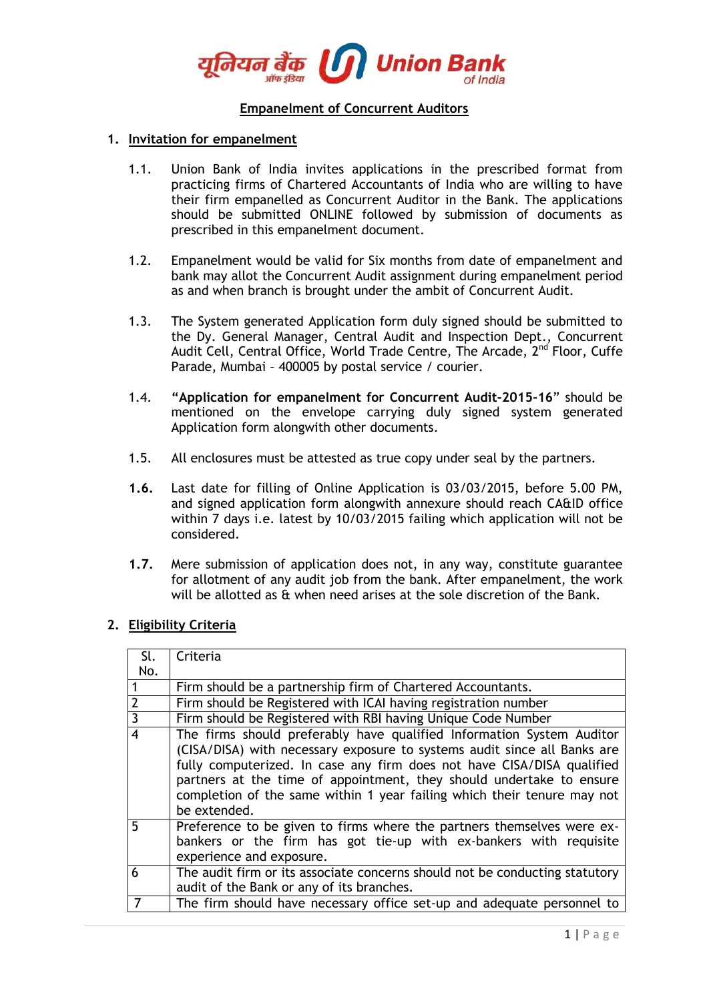

# **Empanelment of Concurrent Auditors**

#### **1. Invitation for empanelment**

- 1.1. Union Bank of India invites applications in the prescribed format from practicing firms of Chartered Accountants of India who are willing to have their firm empanelled as Concurrent Auditor in the Bank. The applications should be submitted ONLINE followed by submission of documents as prescribed in this empanelment document.
- 1.2. Empanelment would be valid for Six months from date of empanelment and bank may allot the Concurrent Audit assignment during empanelment period as and when branch is brought under the ambit of Concurrent Audit.
- 1.3. The System generated Application form duly signed should be submitted to the Dy. General Manager, Central Audit and Inspection Dept., Concurrent Audit Cell, Central Office, World Trade Centre, The Arcade, 2<sup>nd</sup> Floor, Cuffe Parade, Mumbai – 400005 by postal service / courier.
- 1.4. **"Application for empanelment for Concurrent Audit-2015-16**" should be mentioned on the envelope carrying duly signed system generated Application form alongwith other documents.
- 1.5. All enclosures must be attested as true copy under seal by the partners.
- **1.6.** Last date for filling of Online Application is 03/03/2015, before 5.00 PM, and signed application form alongwith annexure should reach CA&ID office within 7 days i.e. latest by 10/03/2015 failing which application will not be considered.
- **1.7.** Mere submission of application does not, in any way, constitute guarantee for allotment of any audit job from the bank. After empanelment, the work will be allotted as & when need arises at the sole discretion of the Bank.

#### **2. Eligibility Criteria**

| Sl.            | Criteria                                                                                                                                                                                                                                                                                                                                                                                       |
|----------------|------------------------------------------------------------------------------------------------------------------------------------------------------------------------------------------------------------------------------------------------------------------------------------------------------------------------------------------------------------------------------------------------|
| No.            |                                                                                                                                                                                                                                                                                                                                                                                                |
| $\mathbf{1}$   | Firm should be a partnership firm of Chartered Accountants.                                                                                                                                                                                                                                                                                                                                    |
| $\overline{2}$ | Firm should be Registered with ICAI having registration number                                                                                                                                                                                                                                                                                                                                 |
| $\overline{3}$ | Firm should be Registered with RBI having Unique Code Number                                                                                                                                                                                                                                                                                                                                   |
| $\overline{4}$ | The firms should preferably have qualified Information System Auditor<br>(CISA/DISA) with necessary exposure to systems audit since all Banks are<br>fully computerized. In case any firm does not have CISA/DISA qualified<br>partners at the time of appointment, they should undertake to ensure<br>completion of the same within 1 year failing which their tenure may not<br>be extended. |
| 5              | Preference to be given to firms where the partners themselves were ex-<br>bankers or the firm has got tie-up with ex-bankers with requisite<br>experience and exposure.                                                                                                                                                                                                                        |
| 6              | The audit firm or its associate concerns should not be conducting statutory<br>audit of the Bank or any of its branches.                                                                                                                                                                                                                                                                       |
|                | The firm should have necessary office set-up and adequate personnel to                                                                                                                                                                                                                                                                                                                         |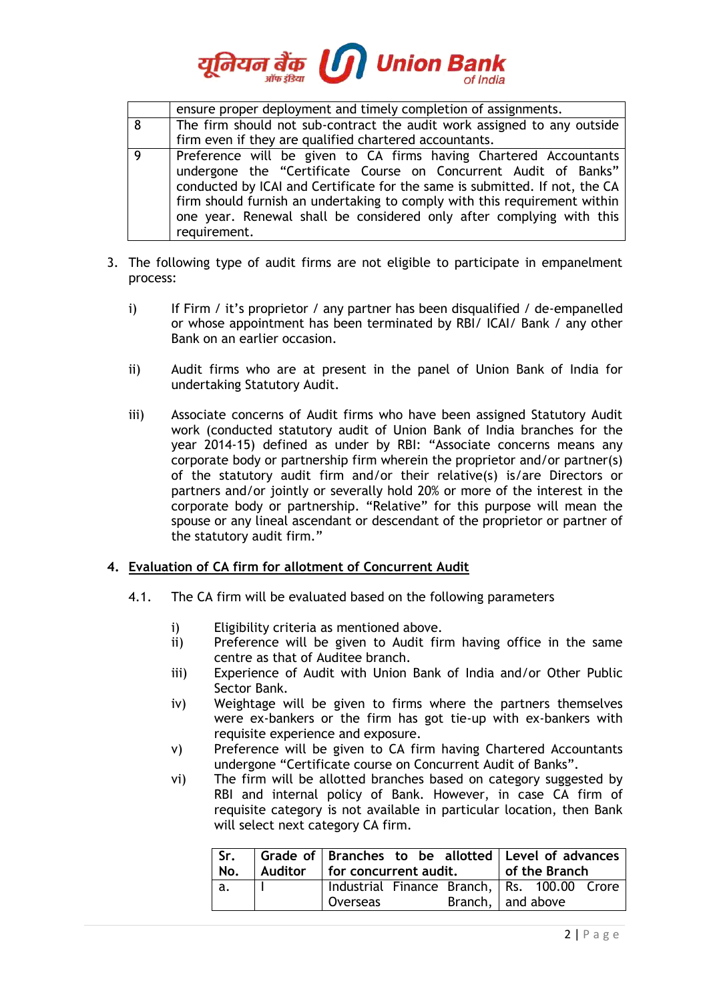

|                | ensure proper deployment and timely completion of assignments.              |  |  |  |
|----------------|-----------------------------------------------------------------------------|--|--|--|
| 8              | The firm should not sub-contract the audit work assigned to any outside     |  |  |  |
|                | firm even if they are qualified chartered accountants.                      |  |  |  |
| $\overline{Q}$ | Preference will be given to CA firms having Chartered Accountants           |  |  |  |
|                | undergone the "Certificate Course on Concurrent Audit of Banks"             |  |  |  |
|                | conducted by ICAI and Certificate for the same is submitted. If not, the CA |  |  |  |
|                | firm should furnish an undertaking to comply with this requirement within   |  |  |  |
|                | one year. Renewal shall be considered only after complying with this        |  |  |  |
|                | requirement.                                                                |  |  |  |

- 3. The following type of audit firms are not eligible to participate in empanelment process:
	- i) If Firm / it's proprietor / any partner has been disqualified / de-empanelled or whose appointment has been terminated by RBI/ ICAI/ Bank / any other Bank on an earlier occasion.
	- ii) Audit firms who are at present in the panel of Union Bank of India for undertaking Statutory Audit.
	- iii) Associate concerns of Audit firms who have been assigned Statutory Audit work (conducted statutory audit of Union Bank of India branches for the year 2014-15) defined as under by RBI: "Associate concerns means any corporate body or partnership firm wherein the proprietor and/or partner(s) of the statutory audit firm and/or their relative(s) is/are Directors or partners and/or jointly or severally hold 20% or more of the interest in the corporate body or partnership. "Relative" for this purpose will mean the spouse or any lineal ascendant or descendant of the proprietor or partner of the statutory audit firm."

## **4. Evaluation of CA firm for allotment of Concurrent Audit**

- 4.1. The CA firm will be evaluated based on the following parameters
	- i) Eligibility criteria as mentioned above.
	- ii) Preference will be given to Audit firm having office in the same centre as that of Auditee branch.
	- iii) Experience of Audit with Union Bank of India and/or Other Public Sector Bank.
	- iv) Weightage will be given to firms where the partners themselves were ex-bankers or the firm has got tie-up with ex-bankers with requisite experience and exposure.
	- v) Preference will be given to CA firm having Chartered Accountants undergone "Certificate course on Concurrent Audit of Banks".
	- vi) The firm will be allotted branches based on category suggested by RBI and internal policy of Bank. However, in case CA firm of requisite category is not available in particular location, then Bank will select next category CA firm.

| Sr.<br>No. | Grade of Branches to be allotted Level of advances<br>Auditor for concurrent audit. |  |  |                       | of the Branch |  |  |  |
|------------|-------------------------------------------------------------------------------------|--|--|-----------------------|---------------|--|--|--|
| a.         | Industrial Finance Branch, Rs. 100.00 Crore<br>Overseas                             |  |  | Branch, $ $ and above |               |  |  |  |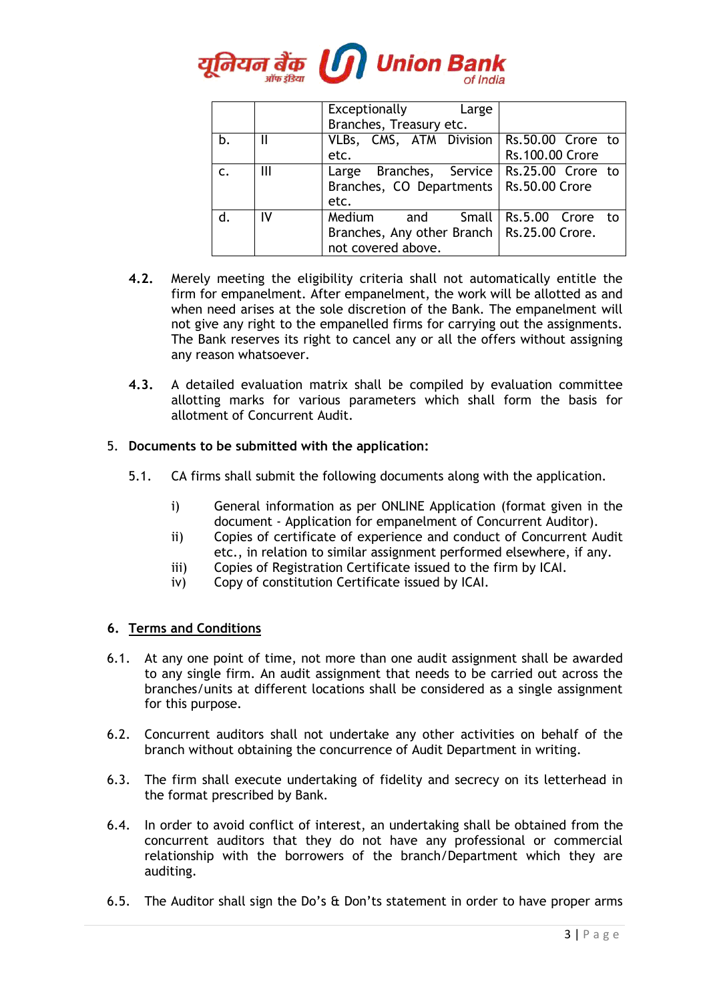

|              |    | Exceptionally Large<br>Branches, Treasury etc.                                                   |                                      |
|--------------|----|--------------------------------------------------------------------------------------------------|--------------------------------------|
| b.           | Ш  | VLBs, CMS, ATM Division<br>etc.                                                                  | Rs.50.00 Crore to<br>Rs.100.00 Crore |
| $\mathsf{C}$ | Ш  | Large Branches, Service   Rs.25.00 Crore to<br>Branches, CO Departments   Rs.50.00 Crore<br>etc. |                                      |
| d.           | IV | Medium<br>and Small<br>Branches, Any other Branch   Rs.25.00 Crore.<br>not covered above.        | Rs.5.00 Crore to                     |

- **4.2.** Merely meeting the eligibility criteria shall not automatically entitle the firm for empanelment. After empanelment, the work will be allotted as and when need arises at the sole discretion of the Bank. The empanelment will not give any right to the empanelled firms for carrying out the assignments. The Bank reserves its right to cancel any or all the offers without assigning any reason whatsoever.
- **4.3.** A detailed evaluation matrix shall be compiled by evaluation committee allotting marks for various parameters which shall form the basis for allotment of Concurrent Audit.

## 5. **Documents to be submitted with the application:**

- 5.1. CA firms shall submit the following documents along with the application.
	- i) General information as per ONLINE Application (format given in the document - Application for empanelment of Concurrent Auditor).
	- ii) Copies of certificate of experience and conduct of Concurrent Audit etc., in relation to similar assignment performed elsewhere, if any.
	- iii) Copies of Registration Certificate issued to the firm by ICAI.
	- iv) Copy of constitution Certificate issued by ICAI.

## **6. Terms and Conditions**

- 6.1. At any one point of time, not more than one audit assignment shall be awarded to any single firm. An audit assignment that needs to be carried out across the branches/units at different locations shall be considered as a single assignment for this purpose.
- 6.2. Concurrent auditors shall not undertake any other activities on behalf of the branch without obtaining the concurrence of Audit Department in writing.
- 6.3. The firm shall execute undertaking of fidelity and secrecy on its letterhead in the format prescribed by Bank.
- 6.4. In order to avoid conflict of interest, an undertaking shall be obtained from the concurrent auditors that they do not have any professional or commercial relationship with the borrowers of the branch/Department which they are auditing.
- 6.5. The Auditor shall sign the Do's & Don'ts statement in order to have proper arms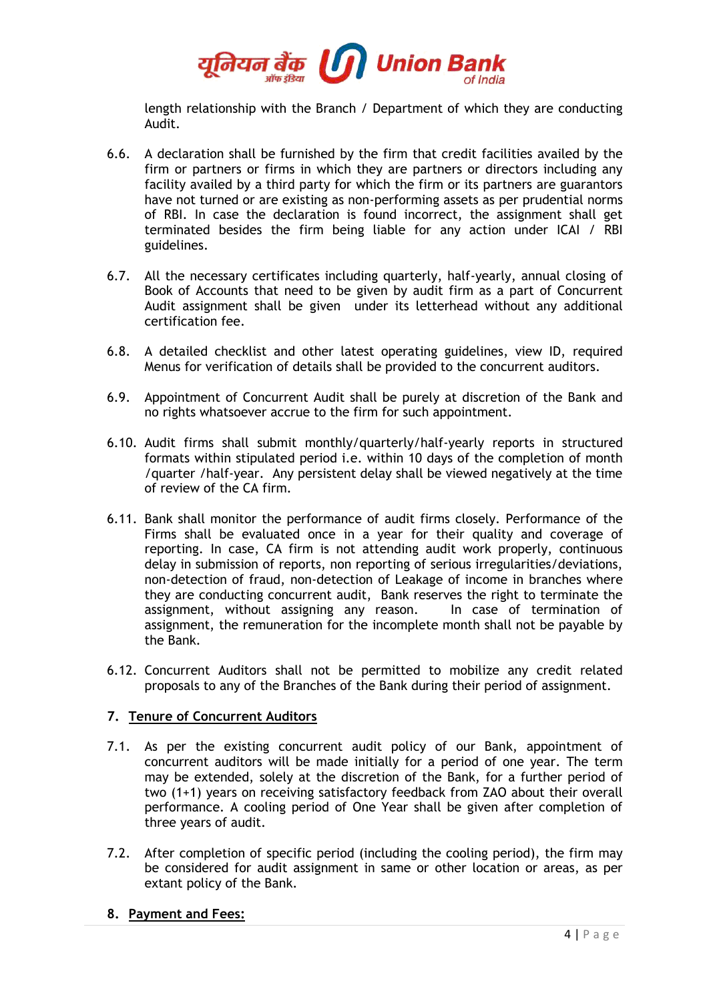

length relationship with the Branch / Department of which they are conducting Audit.

- 6.6. A declaration shall be furnished by the firm that credit facilities availed by the firm or partners or firms in which they are partners or directors including any facility availed by a third party for which the firm or its partners are guarantors have not turned or are existing as non-performing assets as per prudential norms of RBI. In case the declaration is found incorrect, the assignment shall get terminated besides the firm being liable for any action under ICAI / RBI guidelines.
- 6.7. All the necessary certificates including quarterly, half-yearly, annual closing of Book of Accounts that need to be given by audit firm as a part of Concurrent Audit assignment shall be given under its letterhead without any additional certification fee.
- 6.8. A detailed checklist and other latest operating guidelines, view ID, required Menus for verification of details shall be provided to the concurrent auditors.
- 6.9. Appointment of Concurrent Audit shall be purely at discretion of the Bank and no rights whatsoever accrue to the firm for such appointment.
- 6.10. Audit firms shall submit monthly/quarterly/half-yearly reports in structured formats within stipulated period i.e. within 10 days of the completion of month /quarter /half-year. Any persistent delay shall be viewed negatively at the time of review of the CA firm.
- 6.11. Bank shall monitor the performance of audit firms closely. Performance of the Firms shall be evaluated once in a year for their quality and coverage of reporting. In case, CA firm is not attending audit work properly, continuous delay in submission of reports, non reporting of serious irregularities/deviations, non-detection of fraud, non-detection of Leakage of income in branches where they are conducting concurrent audit, Bank reserves the right to terminate the assignment, without assigning any reason. In case of termination of assignment, the remuneration for the incomplete month shall not be payable by the Bank.
- 6.12. Concurrent Auditors shall not be permitted to mobilize any credit related proposals to any of the Branches of the Bank during their period of assignment.

## **7. Tenure of Concurrent Auditors**

- 7.1. As per the existing concurrent audit policy of our Bank, appointment of concurrent auditors will be made initially for a period of one year. The term may be extended, solely at the discretion of the Bank, for a further period of two (1+1) years on receiving satisfactory feedback from ZAO about their overall performance. A cooling period of One Year shall be given after completion of three years of audit.
- 7.2. After completion of specific period (including the cooling period), the firm may be considered for audit assignment in same or other location or areas, as per extant policy of the Bank.
- **8. Payment and Fees:**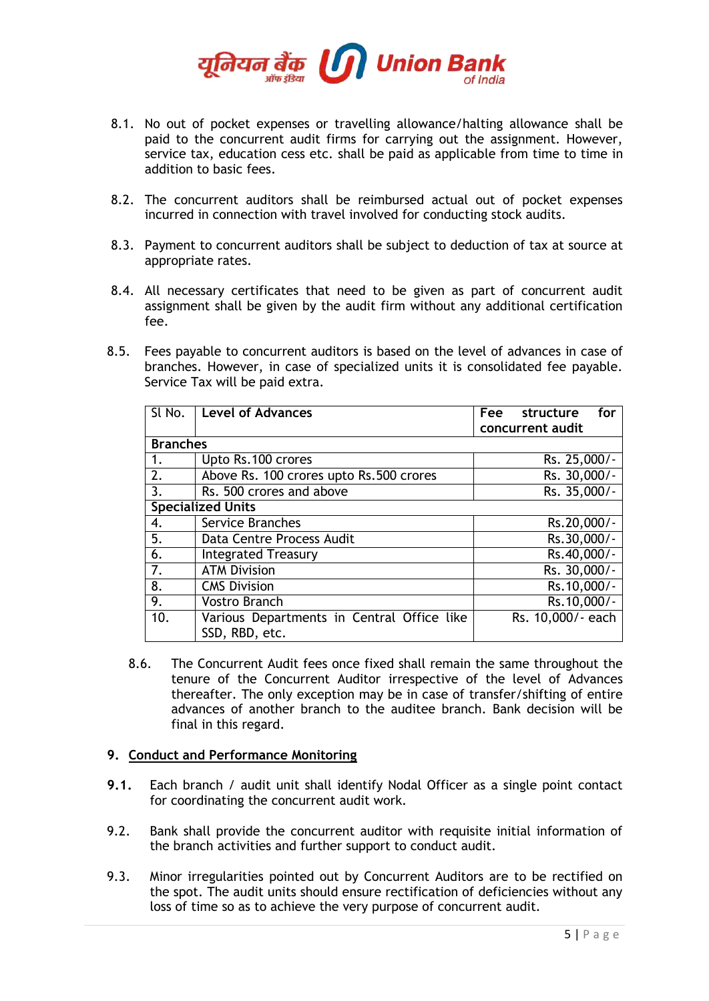

- 8.1. No out of pocket expenses or travelling allowance/halting allowance shall be paid to the concurrent audit firms for carrying out the assignment. However, service tax, education cess etc. shall be paid as applicable from time to time in addition to basic fees.
- 8.2. The concurrent auditors shall be reimbursed actual out of pocket expenses incurred in connection with travel involved for conducting stock audits.
- 8.3. Payment to concurrent auditors shall be subject to deduction of tax at source at appropriate rates.
- 8.4. All necessary certificates that need to be given as part of concurrent audit assignment shall be given by the audit firm without any additional certification fee.
- 8.5. Fees payable to concurrent auditors is based on the level of advances in case of branches. However, in case of specialized units it is consolidated fee payable. Service Tax will be paid extra.

| SI No.          | <b>Level of Advances</b>                   | Fee<br>structure<br>for |
|-----------------|--------------------------------------------|-------------------------|
|                 |                                            | concurrent audit        |
| <b>Branches</b> |                                            |                         |
| 1.              | Upto Rs.100 crores                         | Rs. 25,000/-            |
| 2.              | Above Rs. 100 crores upto Rs.500 crores    | Rs. 30,000/-            |
| 3.              | Rs. 500 crores and above                   | Rs. 35,000/-            |
|                 | <b>Specialized Units</b>                   |                         |
| 4.              | <b>Service Branches</b>                    | Rs.20,000/-             |
| 5.              | Data Centre Process Audit                  | Rs.30,000/-             |
| 6.              | <b>Integrated Treasury</b>                 | Rs.40,000/-             |
| 7.              | <b>ATM Division</b>                        | Rs. 30,000/-            |
| 8.              | <b>CMS Division</b>                        | Rs.10,000/-             |
| 9.              | <b>Vostro Branch</b>                       | Rs.10,000/-             |
| 10.             | Various Departments in Central Office like | Rs. 10,000/- each       |
|                 | SSD, RBD, etc.                             |                         |

8.6. The Concurrent Audit fees once fixed shall remain the same throughout the tenure of the Concurrent Auditor irrespective of the level of Advances thereafter. The only exception may be in case of transfer/shifting of entire advances of another branch to the auditee branch. Bank decision will be final in this regard.

## **9. Conduct and Performance Monitoring**

- **9.1.** Each branch / audit unit shall identify Nodal Officer as a single point contact for coordinating the concurrent audit work.
- 9.2. Bank shall provide the concurrent auditor with requisite initial information of the branch activities and further support to conduct audit.
- 9.3. Minor irregularities pointed out by Concurrent Auditors are to be rectified on the spot. The audit units should ensure rectification of deficiencies without any loss of time so as to achieve the very purpose of concurrent audit.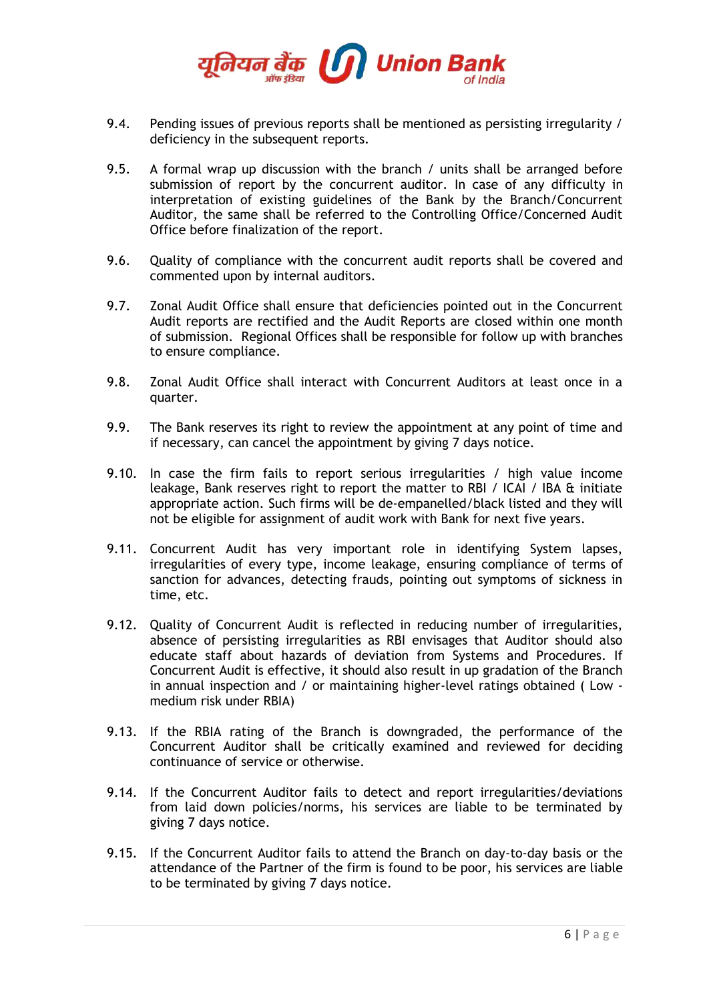

- 9.4. Pending issues of previous reports shall be mentioned as persisting irregularity / deficiency in the subsequent reports.
- 9.5. A formal wrap up discussion with the branch / units shall be arranged before submission of report by the concurrent auditor. In case of any difficulty in interpretation of existing guidelines of the Bank by the Branch/Concurrent Auditor, the same shall be referred to the Controlling Office/Concerned Audit Office before finalization of the report.
- 9.6. Quality of compliance with the concurrent audit reports shall be covered and commented upon by internal auditors.
- 9.7. Zonal Audit Office shall ensure that deficiencies pointed out in the Concurrent Audit reports are rectified and the Audit Reports are closed within one month of submission. Regional Offices shall be responsible for follow up with branches to ensure compliance.
- 9.8. Zonal Audit Office shall interact with Concurrent Auditors at least once in a quarter.
- 9.9. The Bank reserves its right to review the appointment at any point of time and if necessary, can cancel the appointment by giving 7 days notice.
- 9.10. In case the firm fails to report serious irregularities / high value income leakage, Bank reserves right to report the matter to RBI / ICAI / IBA & initiate appropriate action. Such firms will be de-empanelled/black listed and they will not be eligible for assignment of audit work with Bank for next five years.
- 9.11. Concurrent Audit has very important role in identifying System lapses, irregularities of every type, income leakage, ensuring compliance of terms of sanction for advances, detecting frauds, pointing out symptoms of sickness in time, etc.
- 9.12. Quality of Concurrent Audit is reflected in reducing number of irregularities, absence of persisting irregularities as RBI envisages that Auditor should also educate staff about hazards of deviation from Systems and Procedures. If Concurrent Audit is effective, it should also result in up gradation of the Branch in annual inspection and / or maintaining higher-level ratings obtained ( Low medium risk under RBIA)
- 9.13. If the RBIA rating of the Branch is downgraded, the performance of the Concurrent Auditor shall be critically examined and reviewed for deciding continuance of service or otherwise.
- 9.14. If the Concurrent Auditor fails to detect and report irregularities/deviations from laid down policies/norms, his services are liable to be terminated by giving 7 days notice.
- 9.15. If the Concurrent Auditor fails to attend the Branch on day-to-day basis or the attendance of the Partner of the firm is found to be poor, his services are liable to be terminated by giving 7 days notice.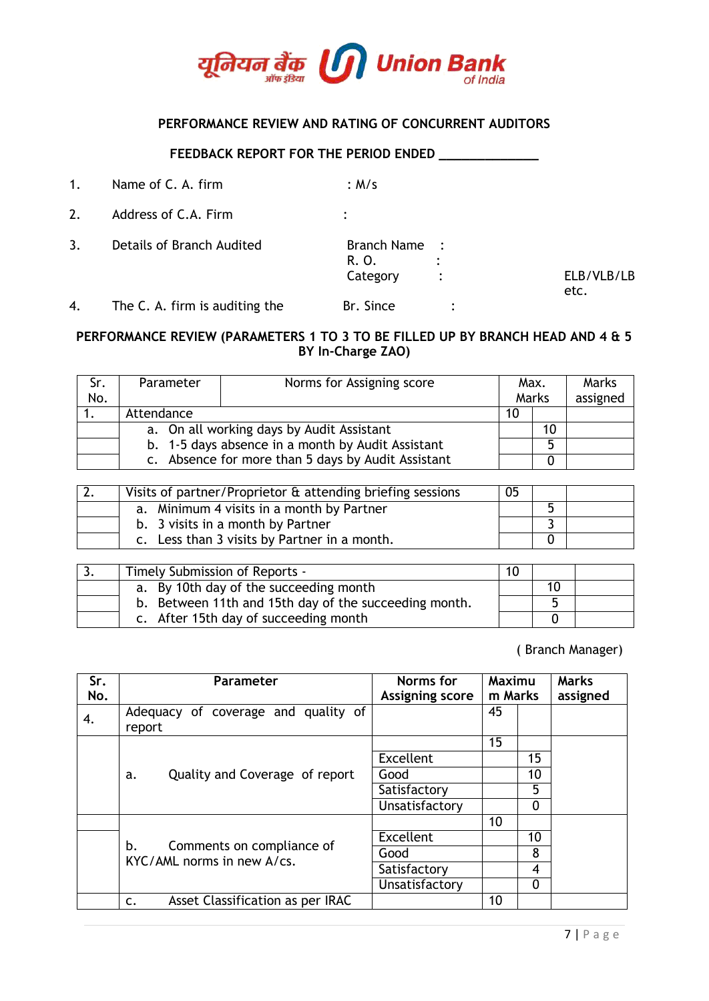

## **PERFORMANCE REVIEW AND RATING OF CONCURRENT AUDITORS**

#### **FEEDBACK REPORT FOR THE PERIOD ENDED \_\_\_\_\_\_\_\_\_\_\_\_\_**

| 1. | Name of C. A. firm        | :M/s                               |                |
|----|---------------------------|------------------------------------|----------------|
| 2. | Address of C.A. Firm      |                                    |                |
| 3. | Details of Branch Audited | Branch Name :<br>R. O.<br>Category | $\ddot{\cdot}$ |

4. The C. A. firm is auditing the Br. Since :

# **PERFORMANCE REVIEW (PARAMETERS 1 TO 3 TO BE FILLED UP BY BRANCH HEAD AND 4 & 5 BY In-Charge ZAO)**

| Sr. | Norms for Assigning score<br>Parameter             |  |  | Max. | Marks |          |
|-----|----------------------------------------------------|--|--|------|-------|----------|
| No. |                                                    |  |  |      | Marks | assigned |
|     | Attendance                                         |  |  | 10   |       |          |
|     | a. On all working days by Audit Assistant          |  |  |      | 10    |          |
|     | b. 1-5 days absence in a month by Audit Assistant  |  |  | 5    |       |          |
|     | c. Absence for more than 5 days by Audit Assistant |  |  |      |       |          |

| Visits of partner/Proprietor & attending briefing sessions | 05 |  |
|------------------------------------------------------------|----|--|
| a. Minimum 4 visits in a month by Partner                  |    |  |
| b. 3 visits in a month by Partner                          |    |  |
| c. Less than 3 visits by Partner in a month.               |    |  |

| د. | Timely Submission of Reports -                        |  |    |  |
|----|-------------------------------------------------------|--|----|--|
|    | a. By 10th day of the succeeding month                |  | 10 |  |
|    | b. Between 11th and 15th day of the succeeding month. |  |    |  |
|    | c. After 15th day of succeeding month                 |  |    |  |

( Branch Manager)

ELB/VLB/LB

etc.

| Sr.<br>No. | Parameter                                               | Norms for<br><b>Assigning score</b> | Maximu<br>m Marks |    | <b>Marks</b><br>assigned |
|------------|---------------------------------------------------------|-------------------------------------|-------------------|----|--------------------------|
| 4.         | Adequacy of coverage and quality of<br>report           |                                     | 45                |    |                          |
|            |                                                         |                                     | 15                |    |                          |
|            |                                                         | Excellent                           |                   | 15 |                          |
|            | Quality and Coverage of report<br>a.                    | Good                                |                   | 10 |                          |
|            |                                                         | Satisfactory                        |                   | 5  |                          |
|            |                                                         | Unsatisfactory                      |                   | 0  |                          |
|            |                                                         |                                     | 10                |    |                          |
|            | b.                                                      | Excellent                           |                   | 10 |                          |
|            | Comments on compliance of<br>KYC/AML norms in new A/cs. | Good                                |                   | 8  |                          |
|            |                                                         | Satisfactory                        |                   | 4  |                          |
|            |                                                         | Unsatisfactory                      |                   | 0  |                          |
|            | Asset Classification as per IRAC<br>$\mathsf{C}$ .      |                                     | 10                |    |                          |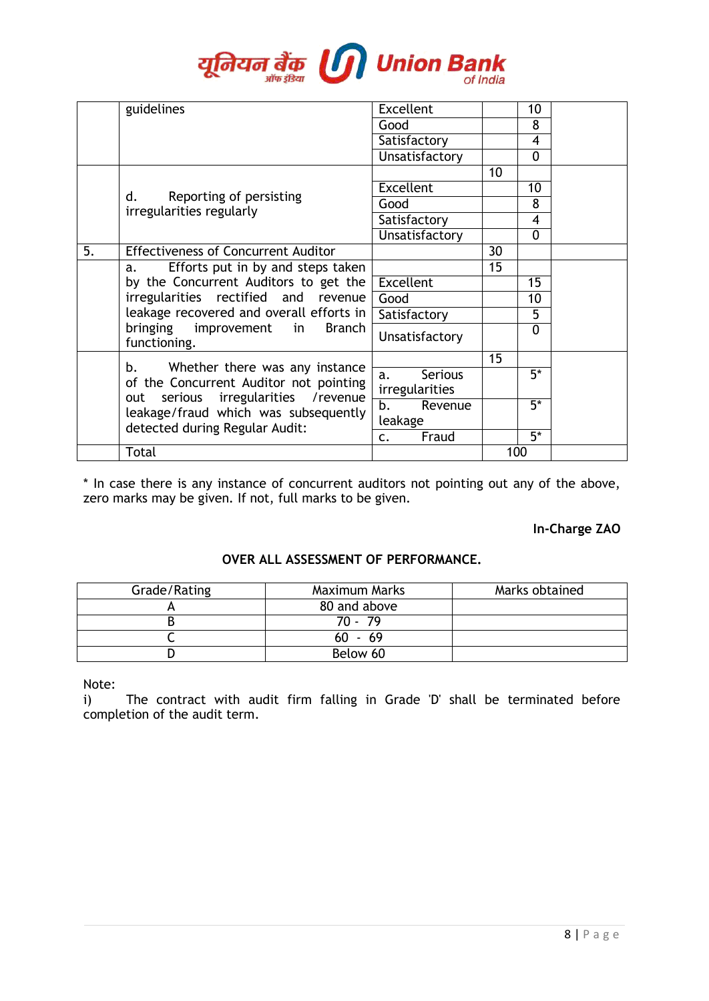

|    | guidelines                                                                                                        | Excellent                              |     | 10       |  |
|----|-------------------------------------------------------------------------------------------------------------------|----------------------------------------|-----|----------|--|
|    |                                                                                                                   | Good                                   |     | 8        |  |
|    |                                                                                                                   | Satisfactory                           |     | 4        |  |
|    |                                                                                                                   | Unsatisfactory                         |     | 0        |  |
|    |                                                                                                                   |                                        | 10  |          |  |
|    |                                                                                                                   | <b>Excellent</b>                       |     | 10       |  |
|    | Reporting of persisting<br>d.                                                                                     | Good                                   |     | 8        |  |
|    | irregularities regularly                                                                                          | Satisfactory                           |     | 4        |  |
|    |                                                                                                                   | Unsatisfactory                         |     | 0        |  |
| 5. | <b>Effectiveness of Concurrent Auditor</b>                                                                        |                                        | 30  |          |  |
|    | Efforts put in by and steps taken<br>a.                                                                           |                                        | 15  |          |  |
|    | by the Concurrent Auditors to get the                                                                             | <b>Excellent</b>                       |     | 15       |  |
|    | irregularities rectified and revenue                                                                              | Good                                   |     | 10       |  |
|    | leakage recovered and overall efforts in [                                                                        | Satisfactory                           |     | 5        |  |
|    | bringing improvement in<br>Branch<br>functioning.                                                                 | Unsatisfactory                         |     | $\Omega$ |  |
|    |                                                                                                                   |                                        | 15  |          |  |
|    | Whether there was any instance<br>b.<br>of the Concurrent Auditor not pointing                                    | <b>Serious</b><br>a.<br>irregularities |     | $5*$     |  |
|    | serious irregularities / revenue<br>out<br>leakage/fraud which was subsequently<br>detected during Regular Audit: | b.<br>Revenue<br>leakage               |     | $5*$     |  |
|    |                                                                                                                   | Fraud<br>c.                            |     | $5^*$    |  |
|    | Total                                                                                                             |                                        | 100 |          |  |

\* In case there is any instance of concurrent auditors not pointing out any of the above, zero marks may be given. If not, full marks to be given.

# **In-Charge ZAO**

## **OVER ALL ASSESSMENT OF PERFORMANCE.**

| Grade/Rating | Maximum Marks | Marks obtained |
|--------------|---------------|----------------|
|              | 80 and above  |                |
|              | 70 - 79       |                |
|              | $60 - 69$     |                |
|              | Below 60      |                |

Note:

i) The contract with audit firm falling in Grade 'D' shall be terminated before completion of the audit term.